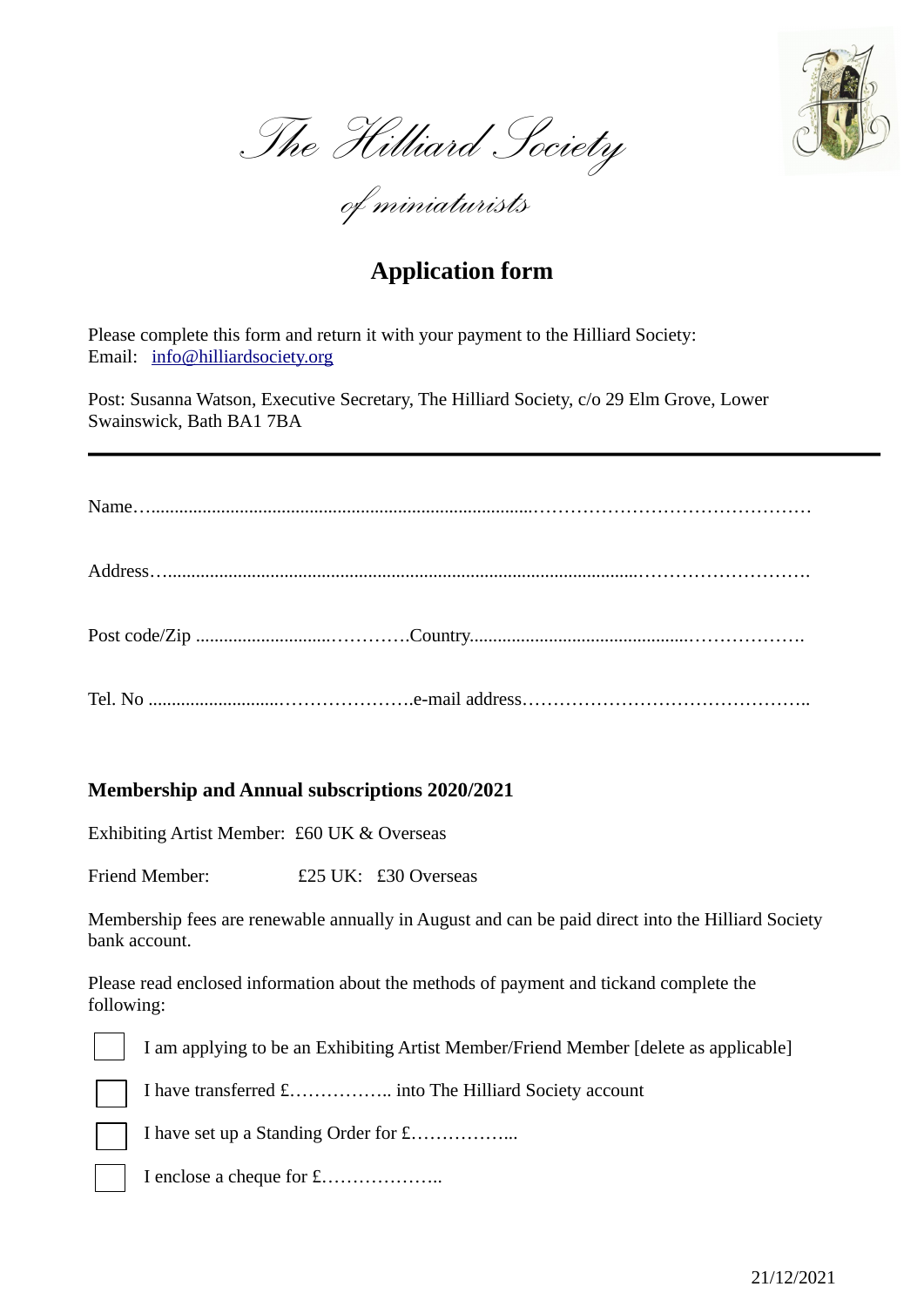

*The Hilliard Society*

*of miniaturists* 

## **Application form**

Please complete this form and return it with your payment to the Hilliard Society: Email: info@hilliardsociety.org

Post: Susanna Watson, Executive Secretary, The Hilliard Society, c/o 29 Elm Grove, Lower Swainswick, Bath BA1 7BA

## **Membership and Annual subscriptions 2020/2021**

Exhibiting Artist Member: £60 UK & Overseas

Friend Member: £25 UK: £30 Overseas

Membership fees are renewable annually in August and can be paid direct into the Hilliard Society bank account.

Please read enclosed information about the methods of payment and tickand complete the following:

I am applying to be an Exhibiting Artist Member/Friend Member [delete as applicable]

I have transferred £…………….. into The Hilliard Society account

I have set up a Standing Order for £……………...



I enclose a cheque for £………………..